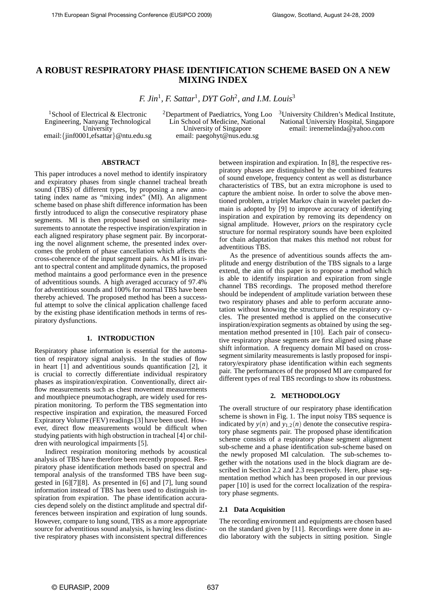# **A ROBUST RESPIRATORY PHASE IDENTIFICATION SCHEME BASED ON A NEW MIXING INDEX**

*F. Jin*<sup>1</sup>*, F. Sattar*<sup>1</sup>*, DYT Goh*<sup>2</sup>*, and I.M. Louis*<sup>3</sup>

<sup>1</sup>School of Electrical & Electronic Engineering, Nanyang Technological University email:{jinf0001,efsattar}@ntu.edu.sg 2Department of Paediatrics, Yong Loo Lin School of Medicine, National University of Singapore email: paegohyt@nus.edu.sg

<sup>3</sup>University Children's Medical Institute, National University Hospital, Singapore email: irenemelinda@yahoo.com

#### **ABSTRACT**

This paper introduces a novel method to identify inspiratory and expiratory phases from single channel tracheal breath sound (TBS) of different types, by proposing a new annotating index name as "mixing index" (MI). An alignment scheme based on phase shift difference information has been firstly introduced to align the consecutive respiratory phase segments. MI is then proposed based on similarity measurements to annotate the respective inspiration/expiration in each aligned respiratory phase segment pair. By incorporating the novel alignment scheme, the presented index overcomes the problem of phase cancellation which affects the cross-coherence of the input segment pairs. As MI is invariant to spectral content and amplitude dynamics, the proposed method maintains a good performance even in the presence of adventitious sounds. A high averaged accuracy of 97*.*4% for adventitious sounds and 100% for normal TBS have been thereby achieved. The proposed method has been a successful attempt to solve the clinical application challenge faced by the existing phase identification methods in terms of respiratory dysfunctions.

# **1. INTRODUCTION**

Respiratory phase information is essential for the automation of respiratory signal analysis. In the studies of flow in heart [1] and adventitious sounds quantification [2], it is crucial to correctly differentiate individual respiratory phases as inspiration/expiration. Conventionally, direct airflow measurements such as chest movement measurements and mouthpiece pneumotachograph, are widely used for respiration monitoring. To perform the TBS segmentation into respective inspiration and expiration, the measured Forced Expiratory Volume (FEV) readings [3] have been used. However, direct flow measurements would be difficult when studying patients with high obstruction in tracheal [4] or children with neurological impairments [5].

Indirect respiration monitoring methods by acoustical analysis of TBS have therefore been recently proposed. Respiratory phase identification methods based on spectral and temporal analysis of the transformed TBS have been suggested in [6][7][8]. As presented in [6] and [7], lung sound information instead of TBS has been used to distinguish inspiration from expiration. The phase identification accuracies depend solely on the distinct amplitude and spectral differences between inspiration and expiration of lung sounds. However, compare to lung sound, TBS as a more appropriate source for adventitious sound analysis, is having less distinctive respiratory phases with inconsistent spectral differences between inspiration and expiration. In [8], the respective respiratory phases are distinguished by the combined features of sound envelope, frequency content as well as disturbance characteristics of TBS, but an extra microphone is used to capture the ambient noise. In order to solve the above mentioned problem, a triplet Markov chain in wavelet packet domain is adopted by [9] to improve accuracy of identifying inspiration and expiration by removing its dependency on signal amplitude. However, *priors* on the respiratory cycle structure for normal respiratory sounds have been exploited for chain adaptation that makes this method not robust for adventitious TBS.

As the presence of adventitious sounds affects the amplitude and energy distribution of the TBS signals to a large extend, the aim of this paper is to propose a method which is able to identify inspiration and expiration from single channel TBS recordings. The proposed method therefore should be independent of amplitude variation between these two respiratory phases and able to perform accurate annotation without knowing the structures of the respiratory cycles. The presented method is applied on the consecutive inspiration/expiration segments as obtained by using the segmentation method presented in [10]. Each pair of consecutive respiratory phase segments are first aligned using phase shift information. A frequency domain MI based on crosssegment similarity measurements is lastly proposed for inspiratory/expiratory phase identification within each segments pair. The performances of the proposed MI are compared for different types of real TBS recordings to show its robustness.

# **2. METHODOLOGY**

The overall structure of our respiratory phase identification scheme is shown in Fig. 1. The input noisy TBS sequence is indicated by  $y(n)$  and  $y_{1,2}(n)$  denote the consecutive respiratory phase segments pair. The proposed phase identification scheme consists of a respiratory phase segment alignment sub-scheme and a phase identification sub-scheme based on the newly proposed MI calculation. The sub-schemes together with the notations used in the block diagram are described in Section 2.2 and 2.3 respectively. Here, phase segmentation method which has been proposed in our previous paper [10] is used for the correct localization of the respiratory phase segments.

#### **2.1 Data Acquisition**

The recording environment and equipments are chosen based on the standard given by [11]. Recordings were done in audio laboratory with the subjects in sitting position. Single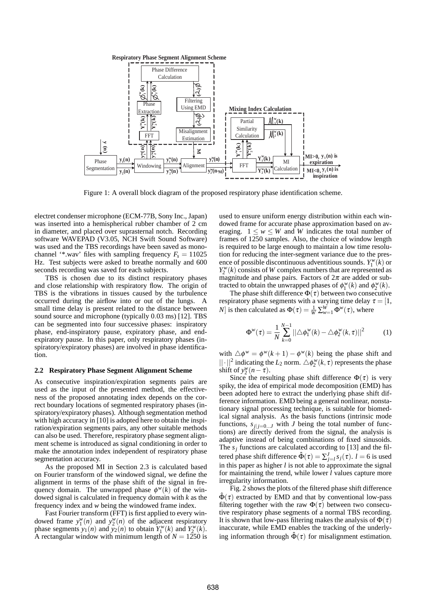

Figure 1: A overall block diagram of the proposed respiratory phase identification scheme.

electret condenser microphone (ECM-77B, Sony Inc., Japan) was inserted into a hemispherical rubber chamber of 2 cm in diameter, and placed over suprasternal notch. Recording software WAVEPAD (V3.05, NCH Swift Sound Software) was used and the TBS recordings have been saved as monochannel '\*.wav' files with sampling frequency  $F_s = 11025$ Hz. Test subjects were asked to breathe normally and 600 seconds recording was saved for each subjects.

TBS is chosen due to its distinct respiratory phases and close relationship with respiratory flow. The origin of TBS is the vibrations in tissues caused by the turbulence occurred during the airflow into or out of the lungs. A small time delay is present related to the distance between sound source and microphone (typically 0*.*03 ms) [12]. TBS can be segmented into four successive phases: inspiratory phase, end-inspiratory pause, expiratory phase, and endexpiratory pause. In this paper, only respiratory phases (inspiratory/expiratory phases) are involved in phase identification.

#### **2.2 Respiratory Phase Segment Alignment Scheme**

As consecutive inspiration/expiration segments pairs are used as the input of the presented method, the effectiveness of the proposed annotating index depends on the correct boundary locations of segmented respiratory phases (inspiratory/expiratory phases). Although segmentation method with high accuracy in [10] is adopted here to obtain the inspiration/expiration segments pairs, any other suitable methods can also be used. Therefore, respiratory phase segment alignment scheme is introduced as signal conditioning in order to make the annotation index independent of respiratory phase segmentation accuracy.

As the proposed MI in Section 2.3 is calculated based on Fourier transform of the windowed signal, we define the alignment in terms of the phase shift of the signal in frequency domain. The unwrapped phase  $\phi^w(k)$  of the windowed signal is calculated in frequency domain with *k* as the frequency index and *w* being the windowed frame index.

Fast Fourier transform (FFT) is first applied to every windowed frame  $y_1^w(n)$  and  $y_2^w(n)$  of the adjacent respiratory phase segments  $y_1(n)$  and  $y_2(n)$  to obtain  $Y_1^w(k)$  and  $Y_2^w(k)$ . A rectangular window with minimum length of  $N = 1250$  is used to ensure uniform energy distribution within each windowed frame for accurate phase approximation based on averaging.  $1 \leq w \leq W$  and *W* indicates the total number of frames of 1250 samples. Also, the choice of window length is required to be large enough to maintain a low time resolution for reducing the inter-segment variance due to the presence of possible discontinuous adventitious sounds.  $Y_1^w(k)$  or  $Y_2^w(k)$  consists of *W* complex numbers that are represented as magnitude and phase pairs. Factors of  $2\pi$  are added or subtracted to obtain the unwrapped phases of  $\phi_1^w(k)$  and  $\phi_2^w(k)$ .

The phase shift difference  $\Phi(\tau)$  between two consecutive respiratory phase segments with a varying time delay  $\tau = [1, \dots]$ *N*] is then calculated as  $\Phi(\tau) = \frac{1}{W} \sum_{w=1}^{W} \Phi^w(\tau)$ , where

$$
\Phi^w(\tau) = \frac{1}{N} \sum_{k=0}^{N-1} ||\triangle \phi_1^w(k) - \triangle \phi_2^w(k, \tau)||^2 \tag{1}
$$

with  $\Delta \phi^w = \phi^w(k+1) - \phi^w(k)$  being the phase shift and  $||\cdot||^2$  indicating the *L*<sub>2</sub> norm.  $\triangle \phi_2^{\mathcal{W}}(k,\tau)$  represents the phase shift of  $y_2^w(n-\tau)$ .

Since the resulting phase shift difference  $\Phi(\tau)$  is very spiky, the idea of empirical mode decomposition (EMD) has been adopted here to extract the underlying phase shift difference information. EMD being a general nonlinear, nonstationary signal processing technique, is suitable for biomedical signal analysis. As the basis functions (intrinsic mode functions,  $s_{j|j=0...J}$  with *J* being the total number of functions) are directly derived from the signal, the analysis is adaptive instead of being combinations of fixed sinusoids. The  $s_i$  functions are calculated according to [13] and the filtered phase shift difference  $\hat{\Phi}(\tau) = \sum_{j=l}^{J} s_j(\tau)$ . *l* = 6 is used in this paper as higher *l* is not able to approximate the signal for maintaining the trend, while lower *l* values capture more irregularity information.

Fig. 2 shows the plots of the filtered phase shift difference  $\hat{\Phi}(\tau)$  extracted by EMD and that by conventional low-pass filtering together with the raw  $\Phi(\tau)$  between two consecutive respiratory phase segments of a normal TBS recording. It is shown that low-pass filtering makes the analysis of  $\Phi(\tau)$ inaccurate, while EMD enables the tracking of the underlying information through  $\hat{\Phi}(\tau)$  for misalignment estimation.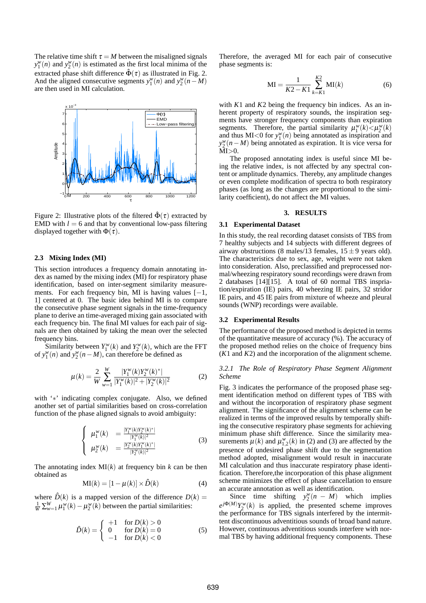The relative time shift  $\tau = M$  between the misaligned signals  $y_1^w(n)$  and  $y_2^w(n)$  is estimated as the first local minima of the extracted phase shift difference  $\hat{\Phi}(\tau)$  as illustrated in Fig. 2. And the aligned consecutive segments  $y_1^w(n)$  and  $y_2^w(n-M)$ are then used in MI calculation.



Figure 2: Illustrative plots of the filtered  $\hat{\Phi}(\tau)$  extracted by EMD with  $l = 6$  and that by conventional low-pass filtering displayed together with  $\Phi(\tau)$ .

# **2.3 Mixing Index (MI)**

This section introduces a frequency domain annotating index as named by the mixing index (MI) for respiratory phase identification, based on inter-segment similarity measurements. For each frequency bin, MI is having values  $[-1,$ 1] centered at 0. The basic idea behind MI is to compare the consecutive phase segment signals in the time-frequency plane to derive an time-averaged mixing gain associated with each frequency bin. The final MI values for each pair of signals are then obtained by taking the mean over the selected frequency bins.

Similarity between  $Y_1^w(k)$  and  $Y_2^w(k)$ , which are the FFT of  $y_1^w(n)$  and  $y_2^w(n-M)$ , can therefore be defined as

$$
\mu(k) = \frac{2}{W} \sum_{w=1}^{W} \frac{|Y_1^w(k)Y_2^w(k)^*|}{|Y_1^w(k)|^2 + |Y_2^w(k)|^2}
$$
(2)

with '\*' indicating complex conjugate. Also, we defined another set of partial similarities based on cross-correlation function of the phase aligned signals to avoid ambiguity:

$$
\begin{cases}\n\mu_1^w(k) = \frac{|Y_1^w(k)Y_2^w(k)^*|}{|Y_1^w(k)|^2} \\
\mu_2^w(k) = \frac{|Y_2^w(k)Y_1^w(k)^*|}{|Y_2^w(k)|^2}\n\end{cases} \tag{3}
$$

The annotating index  $MI(k)$  at frequency bin  $k$  can be then obtained as

$$
MI(k) = [1 - \mu(k)] \times \hat{D}(k)
$$
 (4)

where  $\hat{D}(k)$  is a mapped version of the difference  $D(k)$  =  $\frac{1}{W} \sum_{w=1}^{W} \mu_1^w(k) - \mu_2^w(k)$  between the partial similarities:

$$
\hat{D}(k) = \begin{cases}\n+1 & \text{for } D(k) > 0 \\
0 & \text{for } D(k) = 0 \\
-1 & \text{for } D(k) < 0\n\end{cases}
$$
\n(5)

Therefore, the averaged MI for each pair of consecutive phase segments is:

$$
MI = \frac{1}{K2 - K1} \sum_{k=K1}^{K2} MI(k)
$$
 (6)

with *K*1 and *K*2 being the frequency bin indices. As an inherent property of respiratory sounds, the inspiration segments have stronger frequency components than expiration segments. Therefore, the partial similarity  $\mu_1^w(k) < \mu_2^w(k)$ and thus  $MI < 0$  for  $y_1^w(n)$  being annotated as inspiration and *y<sup>w</sup>*(*n*−*M*) being annotated as expiration. It is vice versa for MI*>*0.

The proposed annotating index is useful since MI being the relative index, is not affected by any spectral content or amplitude dynamics. Thereby, any amplitude changes or even complete modification of spectra to both respiratory phases (as long as the changes are proportional to the similarity coefficient), do not affect the MI values.

#### **3. RESULTS**

## **3.1 Experimental Dataset**

In this study, the real recording dataset consists of TBS from 7 healthy subjects and 14 subjects with different degrees of airway obstructions (8 males/13 females,  $15 \pm 9$  years old). The characteristics due to sex, age, weight were not taken into consideration. Also, preclassified and preprocessed normal/wheezing respiratory sound recordings were drawn from 2 databases [14][15]. A total of 60 normal TBS inspriation/expiration (IE) pairs, 40 wheezing IE pairs, 32 stridor IE pairs, and 45 IE pairs from mixture of wheeze and pleural sounds (WNP) recordings were available.

# **3.2 Experimental Results**

The performance of the proposed method is depicted in terms of the quantitative measure of accuracy (%). The accuracy of the proposed method relies on the choice of frequency bins (*K*1 and *K*2) and the incorporation of the alignment scheme.

# *3.2.1 The Role of Respiratory Phase Segment Alignment Scheme*

Fig. 3 indicates the performance of the proposed phase segment identification method on different types of TBS with and without the incorporation of respiratory phase segment alignment. The significance of the alignment scheme can be realized in terms of the improved results by temporally shifting the consecutive respiratory phase segments for achieving minimum phase shift difference. Since the similarity measurements  $\mu(k)$  and  $\mu_{1,2}^w(k)$  in (2) and (3) are affected by the presence of undesired phase shift due to the segmentation method adopted, misalignment would result in inaccurate MI calculation and thus inaccurate respiratory phase identification. Therefore,the incorporation of this phase alignment scheme minimizes the effect of phase cancellation to ensure an accurate annotation as well as identification.

Since time shifting  $y_2^w(n-M)$ which implies  $e^{j\Phi(M)}Y_2^w(k)$  is applied, the presented scheme improves the performance for TBS signals interfered by the intermittent discontinuous adventitious sounds of broad band nature. However, continuous adventitious sounds interfere with normal TBS by having additional frequency components. These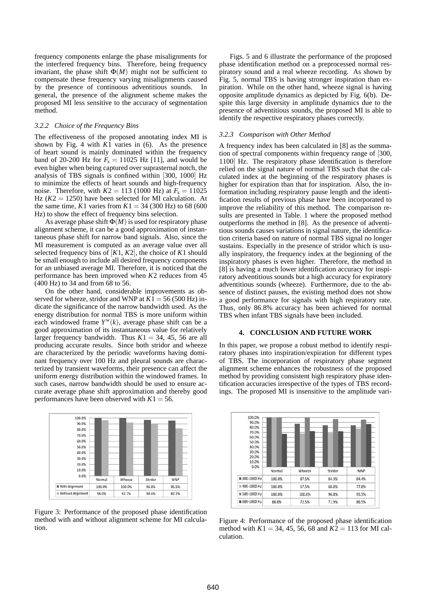frequency components enlarge the phase misalignments for the interfered frequency bins. Therefore, being frequency invariant, the phase shift  $\Phi(M)$  might not be sufficient to compensate these frequency varying misalignments caused by the presence of continuous adventitious sounds. In general, the presence of the alignment scheme makes the proposed MI less sensitive to the accuracy of segmentation method.

#### *3.2.2 Choice of the Frequency Bins*

The effectiveness of the proposed annotating index MI is shown by Fig. 4 with *K*1 varies in (6). As the presence of heart sound is mainly dominated within the frequency band of 20-200 Hz for  $F_s = 11025$  Hz [11], and would be even higher when being captured over suprasternal notch, the analysis of TBS signals is confined within [300, 1000] Hz to minimize the effects of heart sounds and high-frequency noise. Therefore, with  $K2 = 113$  (1000 Hz) at  $F_s = 11025$ Hz  $(K2 = 1250)$  have been selected for MI calculation. At the same time, *K*1 varies from  $K1 = 34 (300 \text{ Hz})$  to 68 (600) Hz) to show the effect of frequency bins selection.

As average phase shift  $\Phi(M)$  is used for respiratory phase alignment scheme, it can be a good approximation of instantaneous phase shift for narrow band signals. Also, since the MI measurement is computed as an average value over all selected frequency bins of [*K*1, *K*2], the choice of *K*1 should be small enough to include all desired frequency components for an unbiased average MI. Therefore, it is noticed that the performance has been improved when *K*2 reduces from 45 (400 Hz) to 34 and from 68 to 56.

On the other hand, considerable improvements as observed for wheeze, stridor and WNP at  $K1 = 56 (500 \text{ Hz})$  indicate the significance of the narrow bandwidth used. As the energy distribution for normal TBS is more uniform within each windowed frame  $Y^w(k)$ , average phase shift can be a good approximation of its instantaneous value for relatively larger frequency bandwidth. Thus  $K1 = 34$ , 45, 56 are all producing accurate results. Since both stridor and wheeze are characterized by the periodic waveforms having dominant frequency over 100 Hz and pleural sounds are characterized by transient waveforms, their presence can affect the uniform energy distribution within the windowed frames. In such cases, narrow bandwidth should be used to ensure accurate average phase shift approximation and thereby good performances have been observed with  $K1 = 56$ .



Figure 3: Performance of the proposed phase identification method with and without alignment scheme for MI calculation.

Figs. 5 and 6 illustrate the performance of the proposed phase identification method on a preprocessed normal respiratory sound and a real wheeze recording. As shown by Fig. 5, normal TBS is having stronger inspiration than expiration. While on the other hand, wheeze signal is having opposite amplitude dynamics as depicted by Fig. 6(b). Despite this large diversity in amplitude dynamics due to the presence of adventitious sounds, the proposed MI is able to identify the respective respiratory phases correctly.

## *3.2.3 Comparison with Other Method*

A frequency index has been calculated in [8] as the summation of spectral components within frequency range of [300, 1100] Hz. The respiratory phase identification is therefore relied on the signal nature of normal TBS such that the calculated index at the beginning of the respiratory phases is higher for expiration than that for inspiration. Also, the information including respiratory pause length and the identification results of previous phase have been incorporated to improve the reliability of this method. The comparison results are presented in Table. 1 where the proposed method outperforms the method in [8]. As the presence of adventitious sounds causes variations in signal nature, the identification criteria based on nature of normal TBS signal no longer sustains. Especially in the presence of stridor which is usually inspiratory, the frequency index at the beginning of the inspiratory phases is even higher. Therefore, the method in [8] is having a much lower identification accuracy for inspiratory adventitious sounds but a high accuracy for expiratory adventitious sounds (wheeze). Furthermore, due to the absence of distinct pauses, the existing method does not show a good performance for signals with high respiratory rate. Thus, only 86*.*8% accuracy has been achieved for normal TBS when infant TBS signals have been included.

# **4. CONCLUSION AND FUTURE WORK**

In this paper, we propose a robust method to identify respiratory phases into inspiration/expiration for different types of TBS. The incorporation of respiratory phase segment alignment scheme enhances the robustness of the proposed method by providing consistent high respiratory phase identification accuracies irrespective of the types of TBS recordings. The proposed MI is insensitive to the amplitude vari-



Figure 4: Performance of the proposed phase identification method with  $K1 = 34, 45, 56, 68$  and  $K2 = 113$  for MI calculation.